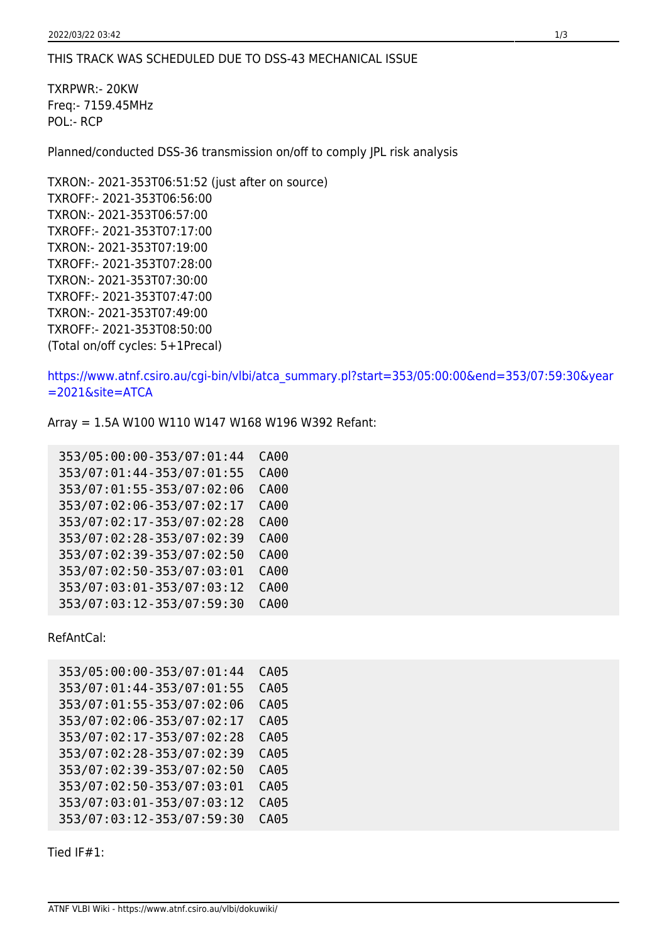## THIS TRACK WAS SCHEDULED DUE TO DSS-43 MECHANICAL ISSUE

TXRPWR:- 20KW Freq:- 7159.45MHz POL:- RCP

Planned/conducted DSS-36 transmission on/off to comply JPL risk analysis

```
TXRON:- 2021-353T06:51:52 (just after on source)
TXROFF:- 2021-353T06:56:00
TXRON:- 2021-353T06:57:00
TXROFF:- 2021-353T07:17:00
TXRON:- 2021-353T07:19:00
TXROFF:- 2021-353T07:28:00
TXRON:- 2021-353T07:30:00
TXROFF:- 2021-353T07:47:00
TXRON:- 2021-353T07:49:00
TXROFF:- 2021-353T08:50:00
(Total on/off cycles: 5+1Precal)
```
[https://www.atnf.csiro.au/cgi-bin/vlbi/atca\\_summary.pl?start=353/05:00:00&end=353/07:59:30&year](https://www.atnf.csiro.au/cgi-bin/vlbi/atca_summary.pl?start=353/05:00:00&end=353/07:59:30&year=2021&site=ATCA) [=2021&site=ATCA](https://www.atnf.csiro.au/cgi-bin/vlbi/atca_summary.pl?start=353/05:00:00&end=353/07:59:30&year=2021&site=ATCA)

Array = 1.5A W100 W110 W147 W168 W196 W392 Refant:

| 353/05:00:00-353/07:01:44 | CA00 |
|---------------------------|------|
| 353/07:01:44-353/07:01:55 | CA00 |
| 353/07:01:55-353/07:02:06 | CA00 |
| 353/07:02:06-353/07:02:17 | CA00 |
| 353/07:02:17-353/07:02:28 | CA00 |
| 353/07:02:28-353/07:02:39 | CA00 |
| 353/07:02:39-353/07:02:50 | CA00 |
| 353/07:02:50-353/07:03:01 | CA00 |
| 353/07:03:01-353/07:03:12 | CA00 |
| 353/07:03:12-353/07:59:30 | CA00 |

RefAntCal:

| 353/05:00:00-353/07:01:44 | <b>CA05</b> |
|---------------------------|-------------|
| 353/07:01:44-353/07:01:55 | CA05        |
| 353/07:01:55-353/07:02:06 | <b>CA05</b> |
| 353/07:02:06-353/07:02:17 | CA05        |
| 353/07:02:17-353/07:02:28 | <b>CA05</b> |
| 353/07:02:28-353/07:02:39 | CA05        |
| 353/07:02:39-353/07:02:50 | CA05        |
| 353/07:02:50-353/07:03:01 | CA05        |
| 353/07:03:01-353/07:03:12 | <b>CA05</b> |
| 353/07:03:12-353/07:59:30 | <b>CA05</b> |

Tied IF#1: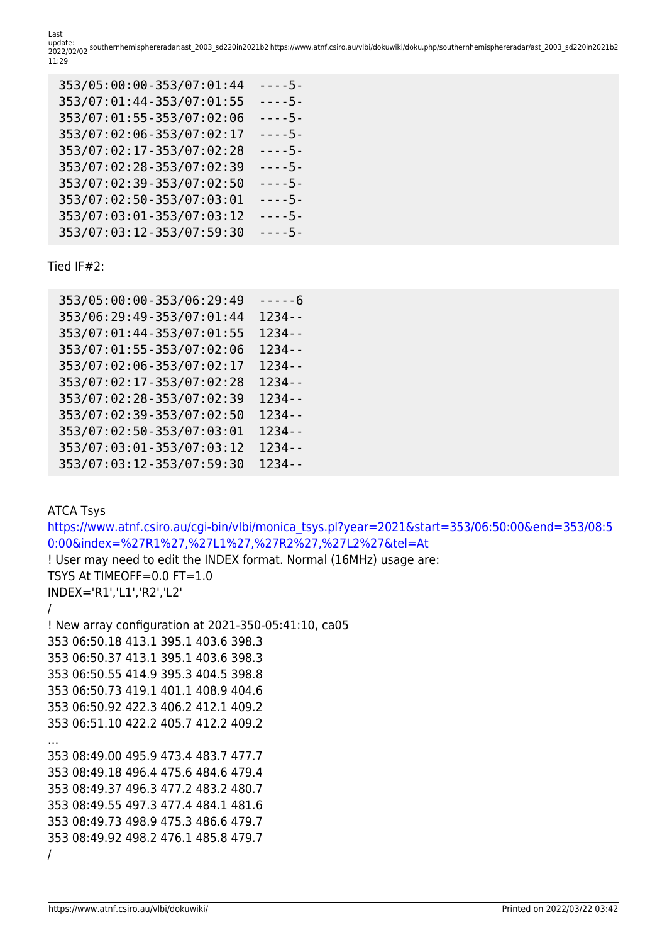Last<br>update: update: 2022/02/02 southernhemisphereradar:ast\_2003\_sd220in2021b2 https://www.atnf.csiro.au/vlbi/dokuwiki/doku.php/southernhemisphereradar/ast\_2003\_sd220in2021b2 11:29

| 353/05:00:00-353/07:01:44 | - - - - 5 - |
|---------------------------|-------------|
| 353/07:01:44-353/07:01:55 | $---5-$     |
| 353/07:01:55-353/07:02:06 | $--5-$      |
| 353/07:02:06-353/07:02:17 | - - - - 5 - |
| 353/07:02:17-353/07:02:28 | - - - - 5 - |
| 353/07:02:28-353/07:02:39 | $--5-$      |
| 353/07:02:39-353/07:02:50 | $---5-$     |
| 353/07:02:50-353/07:03:01 | $--5-$      |
| 353/07:03:01-353/07:03:12 | $---5-$     |
| 353/07:03:12-353/07:59:30 | $---5-$     |

Tied IF#2:

| 353/05:00:00-353/06:29:49 | - - - - - 6 |
|---------------------------|-------------|
| 353/06:29:49-353/07:01:44 | 1234 - -    |
| 353/07:01:44-353/07:01:55 | $1234 - -$  |
| 353/07:01:55-353/07:02:06 | $1234 - -$  |
| 353/07:02:06-353/07:02:17 | $1234 - -$  |
| 353/07:02:17-353/07:02:28 | $1234 - -$  |
| 353/07:02:28-353/07:02:39 | $1234 - -$  |
| 353/07:02:39-353/07:02:50 | $1234 - -$  |
| 353/07:02:50-353/07:03:01 | $1234 - -$  |
| 353/07:03:01-353/07:03:12 | $1234 - -$  |
| 353/07:03:12-353/07:59:30 | $1234 - -$  |

ATCA Tsys [https://www.atnf.csiro.au/cgi-bin/vlbi/monica\\_tsys.pl?year=2021&start=353/06:50:00&end=353/08:5](https://www.atnf.csiro.au/cgi-bin/vlbi/monica_tsys.pl?year=2021&start=353/06:50:00&end=353/08:50:00&index=%27R1%27,%27L1%27,%27R2%27,%27L2%27&tel=At) [0:00&index=%27R1%27,%27L1%27,%27R2%27,%27L2%27&tel=At](https://www.atnf.csiro.au/cgi-bin/vlbi/monica_tsys.pl?year=2021&start=353/06:50:00&end=353/08:50:00&index=%27R1%27,%27L1%27,%27R2%27,%27L2%27&tel=At) ! User may need to edit the INDEX format. Normal (16MHz) usage are: TSYS At TIMEOFF=0.0 FT=1.0 INDEX='R1','L1','R2','L2' / ! New array configuration at 2021-350-05:41:10, ca05 353 06:50.18 413.1 395.1 403.6 398.3 353 06:50.37 413.1 395.1 403.6 398.3 353 06:50.55 414.9 395.3 404.5 398.8 353 06:50.73 419.1 401.1 408.9 404.6 353 06:50.92 422.3 406.2 412.1 409.2 353 06:51.10 422.2 405.7 412.2 409.2 … 353 08:49.00 495.9 473.4 483.7 477.7 353 08:49.18 496.4 475.6 484.6 479.4 353 08:49.37 496.3 477.2 483.2 480.7 353 08:49.55 497.3 477.4 484.1 481.6 353 08:49.73 498.9 475.3 486.6 479.7 353 08:49.92 498.2 476.1 485.8 479.7